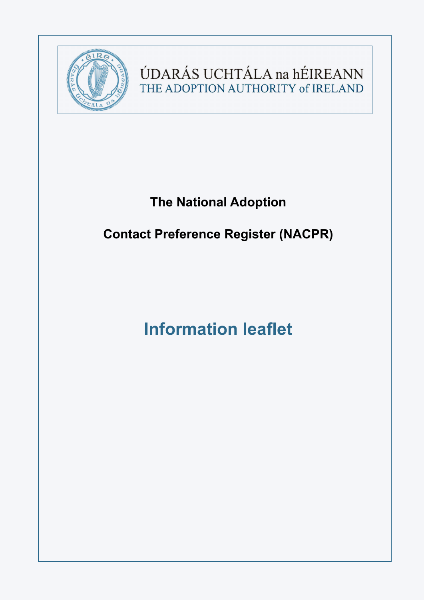

ÚDARÁS UCHTÁLA na hÉIREANN THE ADOPTION AUTHORITY of IRELAND

# **The National Adoption**

# **Contact Preference Register (NACPR)**

# **Information leaflet**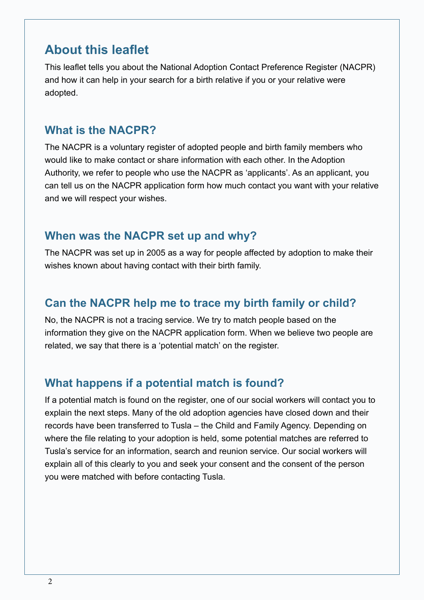# **About this leaflet**

This leaflet tells you about the National Adoption Contact Preference Register (NACPR) and how it can help in your search for a birth relative if you or your relative were adopted.

### **What is the NACPR?**

The NACPR is a voluntary register of adopted people and birth family members who would like to make contact or share information with each other. In the Adoption Authority, we refer to people who use the NACPR as 'applicants'. As an applicant, you can tell us on the NACPR application form how much contact you want with your relative and we will respect your wishes.

### **When was the NACPR set up and why?**

The NACPR was set up in 2005 as a way for people affected by adoption to make their wishes known about having contact with their birth family.

# **Can the NACPR help me to trace my birth family or child?**

No, the NACPR is not a tracing service. We try to match people based on the information they give on the NACPR application form. When we believe two people are related, we say that there is a 'potential match' on the register.

# **What happens if a potential match is found?**

If a potential match is found on the register, one of our social workers will contact you to explain the next steps. Many of the old adoption agencies have closed down and their records have been transferred to Tusla – the Child and Family Agency. Depending on where the file relating to your adoption is held, some potential matches are referred to Tusla's service for an information, search and reunion service. Our social workers will explain all of this clearly to you and seek your consent and the consent of the person you were matched with before contacting Tusla.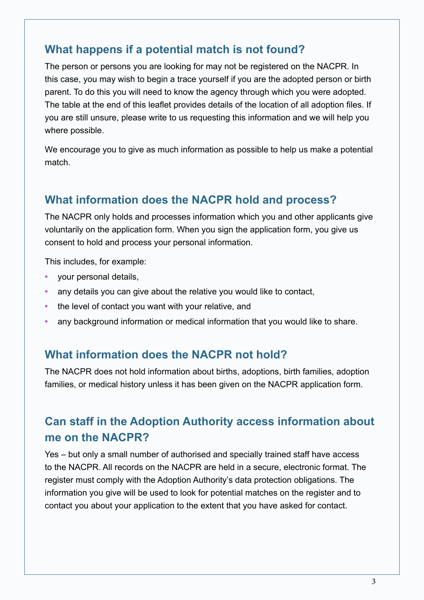# **What happens if a potential match is not found?**

The person or persons you are looking for may not be registered on the NACPR. In this case, you may wish to begin a trace yourself if you are the adopted person or birth parent. To do this you will need to know the agency through which you were adopted. The table at the end of this leaflet provides details of the location of all adoption files. If you are still unsure, please write to us requesting this information and we will help you where possible.

We encourage you to give as much information as possible to help us make a potential match.

# **What information does the NACPR hold and process?**

The NACPR only holds and processes information which you and other applicants give voluntarily on the application form. When you sign the application form, you give us consent to hold and process your personal information.

This includes, for example:

- **•** your personal details,
- **•** any details you can give about the relative you would like to contact,
- **•** the level of contact you want with your relative, and
- **•** any background information or medical information that you would like to share.

# **What information does the NACPR not hold?**

The NACPR does not hold information about births, adoptions, birth families, adoption families, or medical history unless it has been given on the NACPR application form.

# **Can staff in the Adoption Authority access information about me on the NACPR?**

Yes – but only a small number of authorised and specially trained staff have access to the NACPR. All records on the NACPR are held in a secure, electronic format. The register must comply with the Adoption Authority's data protection obligations. The information you give will be used to look for potential matches on the register and to contact you about your application to the extent that you have asked for contact.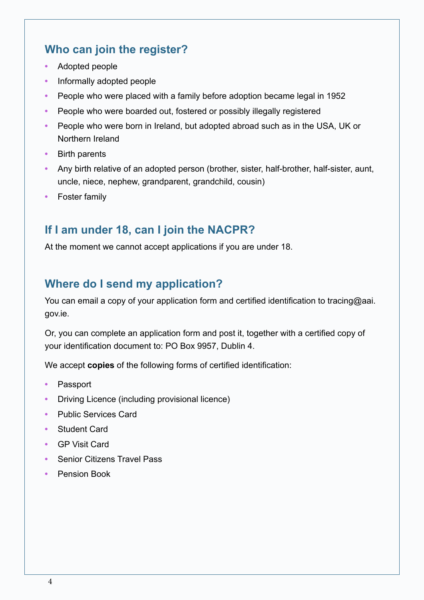# **Who can join the register?**

- **•** Adopted people
- **•** Informally adopted people
- **•** People who were placed with a family before adoption became legal in 1952
- **•** People who were boarded out, fostered or possibly illegally registered
- **•** People who were born in Ireland, but adopted abroad such as in the USA, UK or Northern Ireland
- **•** Birth parents
- **•** Any birth relative of an adopted person (brother, sister, half-brother, half-sister, aunt, uncle, niece, nephew, grandparent, grandchild, cousin)
- **•** Foster family

# **If I am under 18, can I join the NACPR?**

At the moment we cannot accept applications if you are under 18.

# **Where do I send my application?**

You can email a copy of your application form and certified identification to tracing@aai. gov.ie.

Or, you can complete an application form and post it, together with a certified copy of your identification document to: PO Box 9957, Dublin 4.

We accept **copies** of the following forms of certified identification:

- **•** Passport
- **•** Driving Licence (including provisional licence)
- **•** Public Services Card
- **•** Student Card
- **•** GP Visit Card
- **•** Senior Citizens Travel Pass
- **•** Pension Book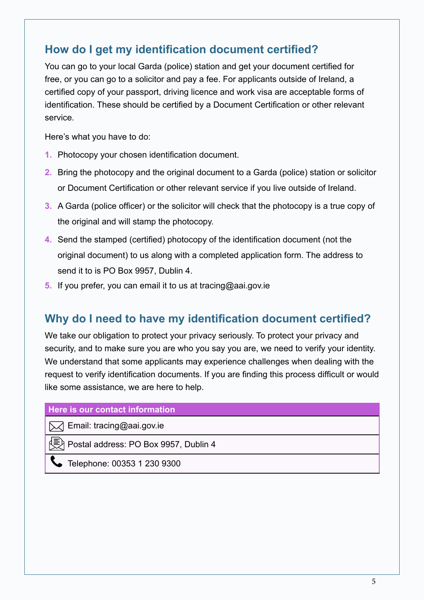# **How do I get my identification document certified?**

You can go to your local Garda (police) station and get your document certified for free, or you can go to a solicitor and pay a fee. For applicants outside of Ireland, a certified copy of your passport, driving licence and work visa are acceptable forms of identification. These should be certified by a Document Certification or other relevant service.

Here's what you have to do:

- **1.** Photocopy your chosen identification document.
- **2.** Bring the photocopy and the original document to a Garda (police) station or solicitor or Document Certification or other relevant service if you live outside of Ireland.
- **3.** A Garda (police officer) or the solicitor will check that the photocopy is a true copy of the original and will stamp the photocopy.
- **4.** Send the stamped (certified) photocopy of the identification document (not the original document) to us along with a completed application form. The address to send it to is PO Box 9957, Dublin 4.
- **5.** If you prefer, you can email it to us at tracing@aai.gov.ie

# **Why do I need to have my identification document certified?**

We take our obligation to protect your privacy seriously. To protect your privacy and security, and to make sure you are who you say you are, we need to verify your identity. We understand that some applicants may experience challenges when dealing with the request to verify identification documents. If you are finding this process difficult or would like some assistance, we are here to help.

### **Here is our contact information**

**M** Email: tracing@aai.gov.ie

Postal address: PO Box 9957, Dublin 4

Telephone: 00353 1 230 9300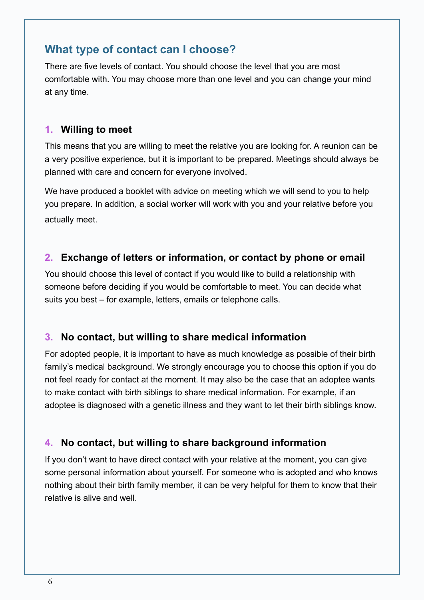# **What type of contact can I choose?**

There are five levels of contact. You should choose the level that you are most comfortable with. You may choose more than one level and you can change your mind at any time.

### **1. Willing to meet**

This means that you are willing to meet the relative you are looking for. A reunion can be a very positive experience, but it is important to be prepared. Meetings should always be planned with care and concern for everyone involved.

We have produced a booklet with advice on meeting which we will send to you to help you prepare. In addition, a social worker will work with you and your relative before you actually meet.

# **2. Exchange of letters or information, or contact by phone or email**

You should choose this level of contact if you would like to build a relationship with someone before deciding if you would be comfortable to meet. You can decide what suits you best – for example, letters, emails or telephone calls.

### **3. No contact, but willing to share medical information**

For adopted people, it is important to have as much knowledge as possible of their birth family's medical background. We strongly encourage you to choose this option if you do not feel ready for contact at the moment. It may also be the case that an adoptee wants to make contact with birth siblings to share medical information. For example, if an adoptee is diagnosed with a genetic illness and they want to let their birth siblings know.

# **4. No contact, but willing to share background information**

If you don't want to have direct contact with your relative at the moment, you can give some personal information about yourself. For someone who is adopted and who knows nothing about their birth family member, it can be very helpful for them to know that their relative is alive and well.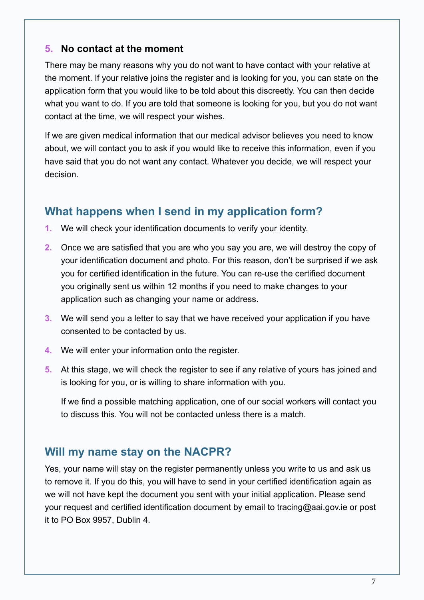### **5. No contact at the moment**

There may be many reasons why you do not want to have contact with your relative at the moment. If your relative joins the register and is looking for you, you can state on the application form that you would like to be told about this discreetly. You can then decide what you want to do. If you are told that someone is looking for you, but you do not want contact at the time, we will respect your wishes.

If we are given medical information that our medical advisor believes you need to know about, we will contact you to ask if you would like to receive this information, even if you have said that you do not want any contact. Whatever you decide, we will respect your decision.

# **What happens when I send in my application form?**

- **1.** We will check your identification documents to verify your identity.
- **2.** Once we are satisfied that you are who you say you are, we will destroy the copy of your identification document and photo. For this reason, don't be surprised if we ask you for certified identification in the future. You can re-use the certified document you originally sent us within 12 months if you need to make changes to your application such as changing your name or address.
- **3.** We will send you a letter to say that we have received your application if you have consented to be contacted by us.
- **4.** We will enter your information onto the register.
- **5.** At this stage, we will check the register to see if any relative of yours has joined and is looking for you, or is willing to share information with you.

If we find a possible matching application, one of our social workers will contact you to discuss this. You will not be contacted unless there is a match.

# **Will my name stay on the NACPR?**

Yes, your name will stay on the register permanently unless you write to us and ask us to remove it. If you do this, you will have to send in your certified identification again as we will not have kept the document you sent with your initial application. Please send your request and certified identification document by email to tracing@aai.gov.ie or post it to PO Box 9957, Dublin 4.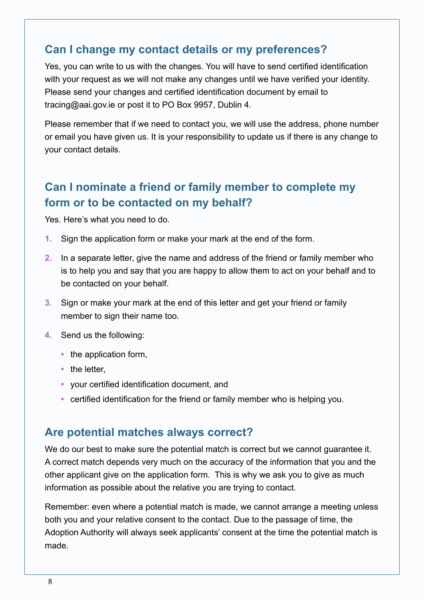# **Can I change my contact details or my preferences?**

Yes, you can write to us with the changes. You will have to send certified identification with your request as we will not make any changes until we have verified your identity. Please send your changes and certified identification document by email to tracing@aai.gov.ie or post it to PO Box 9957, Dublin 4.

Please remember that if we need to contact you, we will use the address, phone number or email you have given us. It is your responsibility to update us if there is any change to your contact details.

# **Can I nominate a friend or family member to complete my form or to be contacted on my behalf?**

Yes. Here's what you need to do.

- **1.** Sign the application form or make your mark at the end of the form.
- **2.** In a separate letter, give the name and address of the friend or family member who is to help you and say that you are happy to allow them to act on your behalf and to be contacted on your behalf.
- **3.** Sign or make your mark at the end of this letter and get your friend or family member to sign their name too.
- **4.** Send us the following:
	- the application form,
	- **•** the letter,
	- **•** your certified identification document, and
	- **•** certified identification for the friend or family member who is helping you.

# **Are potential matches always correct?**

We do our best to make sure the potential match is correct but we cannot quarantee it. A correct match depends very much on the accuracy of the information that you and the other applicant give on the application form. This is why we ask you to give as much information as possible about the relative you are trying to contact.

Remember: even where a potential match is made, we cannot arrange a meeting unless both you and your relative consent to the contact. Due to the passage of time, the Adoption Authority will always seek applicants' consent at the time the potential match is made.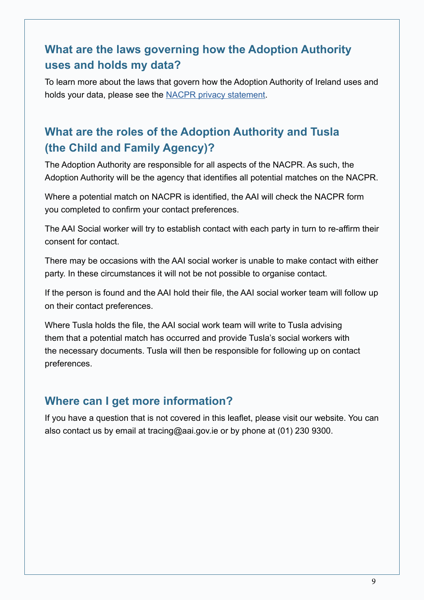# **What are the laws governing how the Adoption Authority uses and holds my data?**

To learn more about the laws that govern how the Adoption Authority of Ireland uses and holds your data, please see the [NACPR privacy statement](https://aai.gov.ie/images/PDFs/The_National_Adoption_Contact_Preference_Register_Data_Privacy_Statement.pdf  ).

# **What are the roles of the Adoption Authority and Tusla (the Child and Family Agency)?**

The Adoption Authority are responsible for all aspects of the NACPR. As such, the Adoption Authority will be the agency that identifies all potential matches on the NACPR.

Where a potential match on NACPR is identified, the AAI will check the NACPR form you completed to confirm your contact preferences.

The AAI Social worker will try to establish contact with each party in turn to re-affirm their consent for contact.

There may be occasions with the AAI social worker is unable to make contact with either party. In these circumstances it will not be not possible to organise contact.

If the person is found and the AAI hold their file, the AAI social worker team will follow up on their contact preferences.

Where Tusla holds the file, the AAI social work team will write to Tusla advising them that a potential match has occurred and provide Tusla's social workers with the necessary documents. Tusla will then be responsible for following up on contact preferences.

# **Where can I get more information?**

If you have a question that is not covered in this leaflet, please visit our website. You can also contact us by email at tracing@aai.gov.ie or by phone at (01) 230 9300.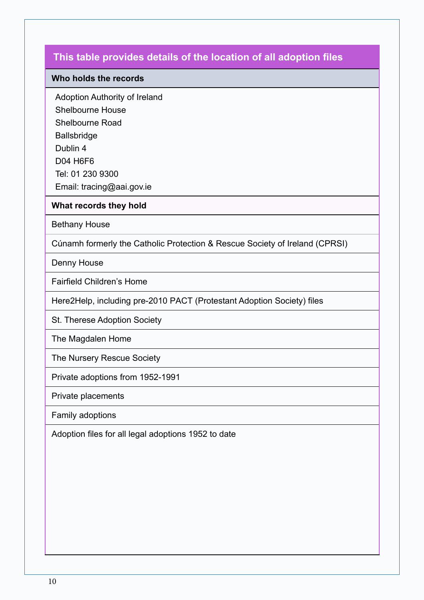#### **Who holds the records**

Adoption Authority of Ireland

Shelbourne House

Shelbourne Road

Ballsbridge

Dublin 4

D04 H6F6

Tel: 01 230 9300

Email: tracing@aai.gov.ie

#### **What records they hold**

Bethany House

Cúnamh formerly the Catholic Protection & Rescue Society of Ireland (CPRSI)

Denny House

Fairfield Children's Home

Here2Help, including pre-2010 PACT (Protestant Adoption Society) files

St. Therese Adoption Society

The Magdalen Home

The Nursery Rescue Society

Private adoptions from 1952-1991

Private placements

Family adoptions

Adoption files for all legal adoptions 1952 to date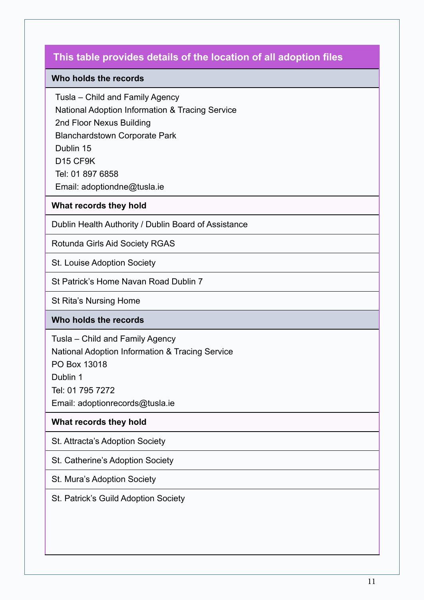#### **Who holds the records**

Tusla – Child and Family Agency

National Adoption Information & Tracing Service

2nd Floor Nexus Building

Blanchardstown Corporate Park

Dublin 15

D15 CF9K

Tel: 01 897 6858

Email: adoptiondne@tusla.ie

### **What records they hold**

Dublin Health Authority / Dublin Board of Assistance

Rotunda Girls Aid Society RGAS

St. Louise Adoption Society

St Patrick's Home Navan Road Dublin 7

St Rita's Nursing Home

### **Who holds the records**

Tusla – Child and Family Agency National Adoption Information & Tracing Service PO Box 13018 Dublin 1 Tel: 01 795 7272 Email: adoptionrecords@tusla.ie

### **What records they hold**

St. Attracta's Adoption Society

St. Catherine's Adoption Society

St. Mura's Adoption Society

St. Patrick's Guild Adoption Society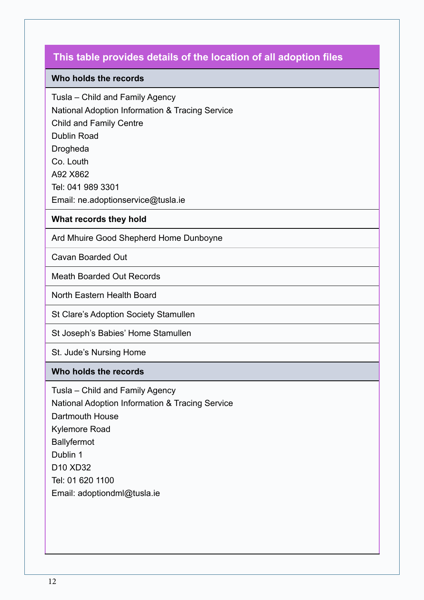#### **Who holds the records**

Tusla – Child and Family Agency

National Adoption Information & Tracing Service

Child and Family Centre

Dublin Road

Drogheda

Co. Louth

A92 X862

Tel: 041 989 3301

Email: ne.adoptionservice@tusla.ie

#### **What records they hold**

Ard Mhuire Good Shepherd Home Dunboyne

Cavan Boarded Out

Meath Boarded Out Records

North Eastern Health Board

St Clare's Adoption Society Stamullen

St Joseph's Babies' Home Stamullen

St. Jude's Nursing Home

### **Who holds the records**

Tusla – Child and Family Agency National Adoption Information & Tracing Service Dartmouth House Kylemore Road **Ballyfermot** Dublin 1 D10 XD32 Tel: 01 620 1100 Email: adoptiondml@tusla.ie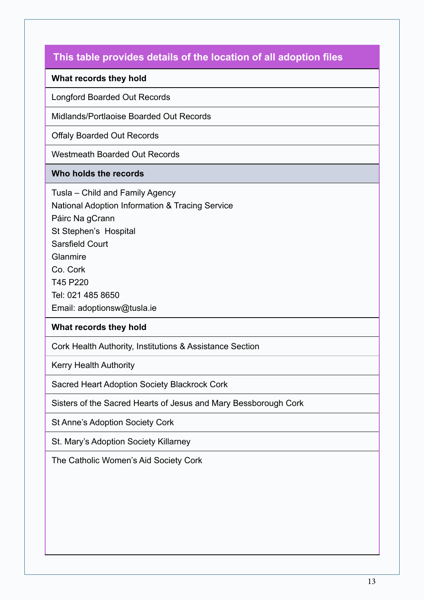#### **What records they hold**

Longford Boarded Out Records

Midlands/Portlaoise Boarded Out Records

Offaly Boarded Out Records

Westmeath Boarded Out Records

#### **Who holds the records**

Tusla – Child and Family Agency National Adoption Information & Tracing Service Páirc Na gCrann St Stephen's Hospital Sarsfield Court Glanmire Co. Cork T45 P220 Tel: 021 485 8650

Email: adoptionsw@tusla.ie

### **What records they hold**

Cork Health Authority, Institutions & Assistance Section

Kerry Health Authority

Sacred Heart Adoption Society Blackrock Cork

Sisters of the Sacred Hearts of Jesus and Mary Bessborough Cork

St Anne's Adoption Society Cork

St. Mary's Adoption Society Killarney

The Catholic Women's Aid Society Cork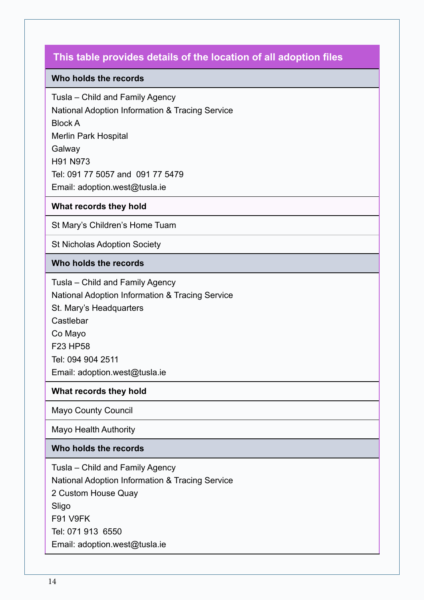#### **Who holds the records**

Tusla – Child and Family Agency National Adoption Information & Tracing Service Block A Merlin Park Hospital Galway H91 N973 Tel: 091 77 5057 and 091 77 5479 Email: adoption.west@tusla.ie

#### **What records they hold**

St Mary's Children's Home Tuam

St Nicholas Adoption Society

#### **Who holds the records**

Tusla – Child and Family Agency National Adoption Information & Tracing Service St. Mary's Headquarters Castlebar Co Mayo F23 HP58 Tel: 094 904 2511 Email: adoption.west@tusla.ie

#### **What records they hold**

Mayo County Council

Mayo Health Authority

#### **Who holds the records**

Tusla – Child and Family Agency National Adoption Information & Tracing Service 2 Custom House Quay Sligo F91 V9FK Tel: 071 913 6550 Email: adoption.west@tusla.ie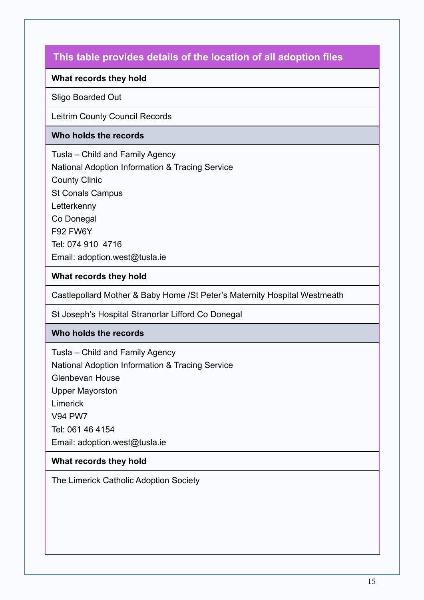### **What records they hold**

#### Sligo Boarded Out

Leitrim County Council Records

#### **Who holds the records**

Tusla – Child and Family Agency National Adoption Information & Tracing Service County Clinic St Conals Campus Letterkenny Co Donegal F92 FW6Y Tel: 074 910 4716 Email: adoption.west@tusla.ie

#### **What records they hold**

Castlepollard Mother & Baby Home /St Peter's Maternity Hospital Westmeath

St Joseph's Hospital Stranorlar Lifford Co Donegal

### **Who holds the records**

Tusla – Child and Family Agency National Adoption Information & Tracing Service Glenbevan House Upper Mayorston Limerick V94 PW7 Tel: 061 46 4154 Email: adoption.west@tusla.ie

### **What records they hold**

The Limerick Catholic Adoption Society